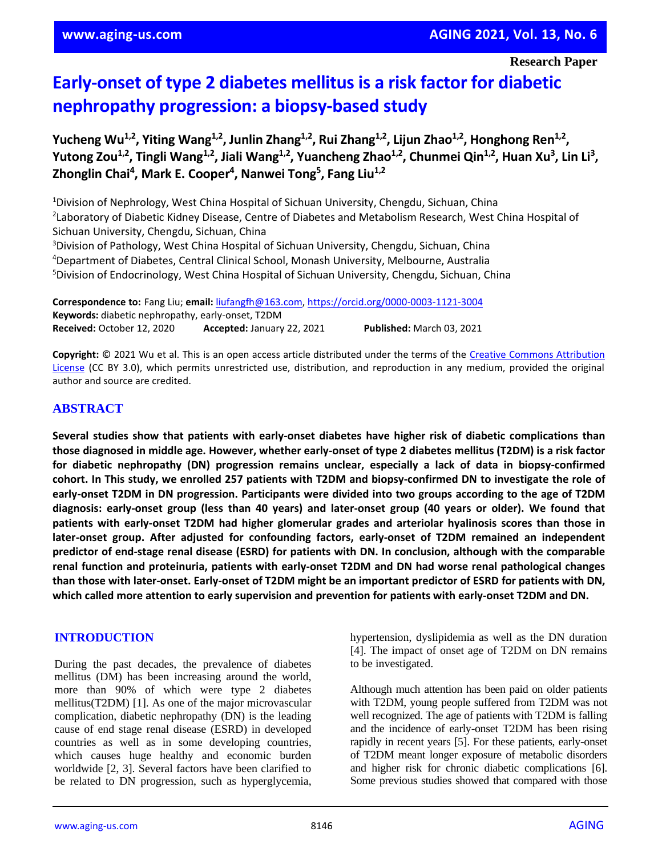**Research Paper**

# **Early-onset of type 2 diabetes mellitus is a risk factor for diabetic nephropathy progression: a biopsy-based study**

**Yucheng Wu1,2, Yiting Wang1,2, Junlin Zhang1,2, Rui Zhang1,2, Lijun Zhao1,2, Honghong Ren1,2 , Yutong Zou1,2, Tingli Wang1,2, Jiali Wang1,2, Yuancheng Zhao1,2, Chunmei Qin1,2, Huan Xu<sup>3</sup> , Lin Li<sup>3</sup> , Zhonglin Chai<sup>4</sup> , Mark E. Cooper<sup>4</sup> , Nanwei Tong<sup>5</sup> , Fang Liu1,2**

Division of Nephrology, West China Hospital of Sichuan University, Chengdu, Sichuan, China Laboratory of Diabetic Kidney Disease, Centre of Diabetes and Metabolism Research, West China Hospital of Sichuan University, Chengdu, Sichuan, China <sup>3</sup>Division of Pathology, West China Hospital of Sichuan University, Chengdu, Sichuan, China Department of Diabetes, Central Clinical School, Monash University, Melbourne, Australia Division of Endocrinology, West China Hospital of Sichuan University, Chengdu, Sichuan, China

**Correspondence to:** Fang Liu; **email:** [liufangfh@163.com,](mailto:liufangfh@163.com)<https://orcid.org/0000-0003-1121-3004> **Keywords:** diabetic nephropathy, early-onset, T2DM **Received:** October 12, 2020 **Accepted:** January 22, 2021 **Published:** March 03, 2021

**Copyright:** © 2021 Wu et al. This is an open access article distributed under the terms of the [Creative Commons Attribution](https://creativecommons.org/licenses/by/3.0/)  [License](https://creativecommons.org/licenses/by/3.0/) (CC BY 3.0), which permits unrestricted use, distribution, and reproduction in any medium, provided the original author and source are credited.

## **ABSTRACT**

**Several studies show that patients with early-onset diabetes have higher risk of diabetic complications than** those diagnosed in middle age. However, whether early-onset of type 2 diabetes mellitus (T2DM) is a risk factor **for diabetic nephropathy (DN) progression remains unclear, especially a lack of data in biopsy-confirmed** cohort. In This study, we enrolled 257 patients with T2DM and biopsy-confirmed DN to investigate the role of early-onset T2DM in DN progression. Participants were divided into two groups according to the age of T2DM diagnosis: early-onset group (less than 40 years) and later-onset group (40 years or older). We found that **patients with early-onset T2DM had higher glomerular grades and arteriolar hyalinosis scores than those in later-onset group. After adjusted for confounding factors, early-onset of T2DM remained an independent predictor of end-stage renal disease (ESRD) for patients with DN. In conclusion, although with the comparable renal function and proteinuria, patients with early-onset T2DM and DN had worse renal pathological changes** than those with later-onset. Early-onset of T2DM might be an important predictor of ESRD for patients with DN, **which called more attention to early supervision and prevention for patients with early-onset T2DM and DN.**

## **INTRODUCTION**

During the past decades, the prevalence of diabetes mellitus (DM) has been increasing around the world, more than 90% of which were type 2 diabetes mellitus(T2DM) [1]. As one of the major microvascular complication, diabetic nephropathy (DN) is the leading cause of end stage renal disease (ESRD) in developed countries as well as in some developing countries, which causes huge healthy and economic burden worldwide [2, 3]. Several factors have been clarified to be related to DN progression, such as hyperglycemia, hypertension, dyslipidemia as well as the DN duration [4]. The impact of onset age of T2DM on DN remains to be investigated.

Although much attention has been paid on older patients with T2DM, young people suffered from T2DM was not well recognized. The age of patients with T2DM is falling and the incidence of early-onset T2DM has been rising rapidly in recent years [5]. For these patients, early-onset of T2DM meant longer exposure of metabolic disorders and higher risk for chronic diabetic complications [6]. Some previous studies showed that compared with those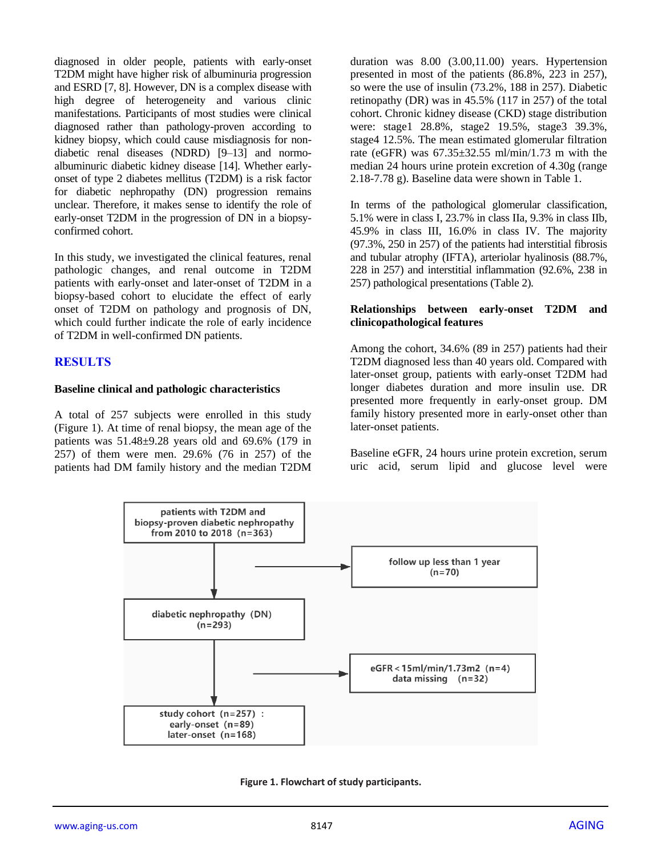diagnosed in older people, patients with early-onset T2DM might have higher risk of albuminuria progression and ESRD [7, 8]. However, DN is a complex disease with high degree of heterogeneity and various clinic manifestations. Participants of most studies were clinical diagnosed rather than pathology-proven according to kidney biopsy, which could cause misdiagnosis for nondiabetic renal diseases (NDRD) [9–13] and normoalbuminuric diabetic kidney disease [14]. Whether earlyonset of type 2 diabetes mellitus (T2DM) is a risk factor for diabetic nephropathy (DN) progression remains unclear. Therefore, it makes sense to identify the role of early-onset T2DM in the progression of DN in a biopsyconfirmed cohort.

In this study, we investigated the clinical features, renal pathologic changes, and renal outcome in T2DM patients with early-onset and later-onset of T2DM in a biopsy-based cohort to elucidate the effect of early onset of T2DM on pathology and prognosis of DN, which could further indicate the role of early incidence of T2DM in well-confirmed DN patients.

## **RESULTS**

#### **Baseline clinical and pathologic characteristics**

A total of 257 subjects were enrolled in this study (Figure 1). At time of renal biopsy, the mean age of the patients was 51.48±9.28 years old and 69.6% (179 in 257) of them were men. 29.6% (76 in 257) of the patients had DM family history and the median T2DM

duration was 8.00 (3.00,11.00) years. Hypertension presented in most of the patients (86.8%, 223 in 257), so were the use of insulin (73.2%, 188 in 257). Diabetic retinopathy (DR) was in 45.5% (117 in 257) of the total cohort. Chronic kidney disease (CKD) stage distribution were: stage1 28.8%, stage2 19.5%, stage3 39.3%, stage4 12.5%. The mean estimated glomerular filtration rate (eGFR) was 67.35±32.55 ml/min/1.73 m with the median 24 hours urine protein excretion of 4.30g (range 2.18-7.78 g). Baseline data were shown in Table 1.

In terms of the pathological glomerular classification, 5.1% were in class I, 23.7% in class IIa, 9.3% in class IIb, 45.9% in class III, 16.0% in class IV. The majority (97.3%, 250 in 257) of the patients had interstitial fibrosis and tubular atrophy (IFTA), arteriolar hyalinosis (88.7%, 228 in 257) and interstitial inflammation (92.6%, 238 in 257) pathological presentations (Table 2).

#### **Relationships between early-onset T2DM and clinicopathological features**

Among the cohort, 34.6% (89 in 257) patients had their T2DM diagnosed less than 40 years old. Compared with later-onset group, patients with early-onset T2DM had longer diabetes duration and more insulin use. DR presented more frequently in early-onset group. DM family history presented more in early-onset other than later-onset patients.

Baseline eGFR, 24 hours urine protein excretion, serum uric acid, serum lipid and glucose level were



**Figure 1. Flowchart of study participants.**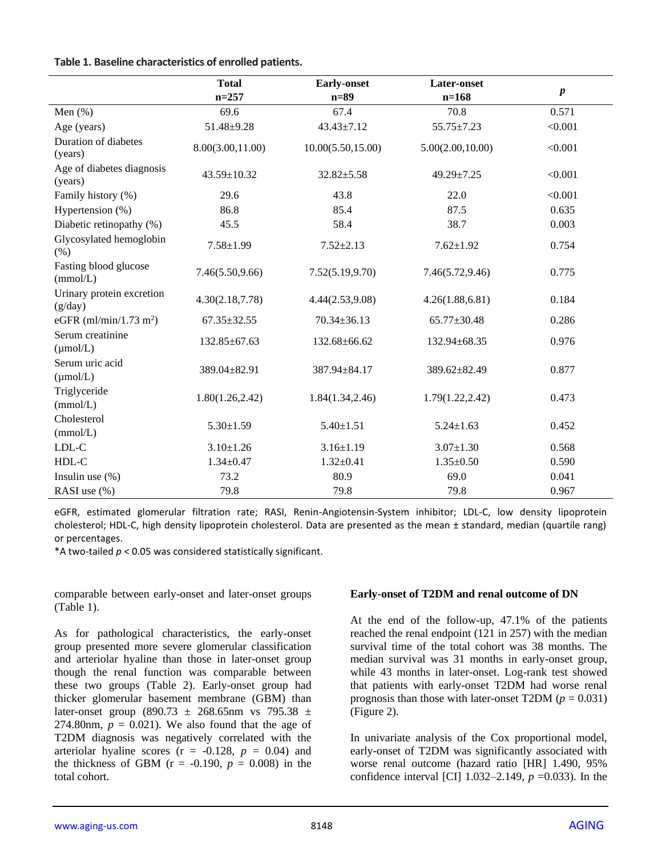| Table 1. Baseline characteristics of enrolled patients. |  |  |
|---------------------------------------------------------|--|--|
|---------------------------------------------------------|--|--|

|                                          | <b>Total</b><br>$n = 257$ | <b>Early-onset</b><br>$n=89$ | <b>Later-onset</b><br>$n=168$ | $\pmb{p}$ |
|------------------------------------------|---------------------------|------------------------------|-------------------------------|-----------|
| Men $(\% )$                              | 69.6                      | 67.4                         | 70.8                          | 0.571     |
| Age (years)                              | $51.48 \pm 9.28$          | 43.43±7.12                   | $55.75 \pm 7.23$              | < 0.001   |
| Duration of diabetes<br>(years)          | 8.00(3.00,11.00)          | 10.00(5.50, 15.00)           | 5.00(2.00, 10.00)             | < 0.001   |
| Age of diabetes diagnosis<br>(years)     | 43.59±10.32               | $32.82 \pm 5.58$             | 49.29±7.25                    | < 0.001   |
| Family history (%)                       | 29.6                      | 43.8                         | 22.0                          | < 0.001   |
| Hypertension (%)                         | 86.8                      | 85.4                         | 87.5                          | 0.635     |
| Diabetic retinopathy (%)                 | 45.5                      | 58.4                         | 38.7                          | 0.003     |
| Glycosylated hemoglobin<br>(% )          | $7.58 \pm 1.99$           | $7.52 \pm 2.13$              | $7.62 \pm 1.92$               | 0.754     |
| Fasting blood glucose<br>(mmol/L)        | 7.46(5.50,9.66)           | 7.52(5.19, 9.70)             | 7.46(5.72, 9.46)              | 0.775     |
| Urinary protein excretion<br>(g/day)     | 4.30(2.18,7.78)           | 4.44(2.53,9.08)              | 4.26(1.88, 6.81)              | 0.184     |
| eGFR (ml/min/1.73 m <sup>2</sup> )       | $67.35 \pm 32.55$         | $70.34 \pm 36.13$            | 65.77±30.48                   | 0.286     |
| Serum creatinine<br>$(\mu \text{mol/L})$ | 132.85±67.63              | 132.68±66.62                 | 132.94±68.35                  | 0.976     |
| Serum uric acid<br>$(\mu \text{mol/L})$  | 389.04±82.91              | 387.94±84.17                 | 389.62±82.49                  | 0.877     |
| Triglyceride<br>(mmol/L)                 | 1.80(1.26, 2.42)          | 1.84(1.34, 2.46)             | 1.79(1.22, 2.42)              | 0.473     |
| Cholesterol<br>(mmol/L)                  | $5.30 \pm 1.59$           | $5.40 \pm 1.51$              | $5.24 \pm 1.63$               | 0.452     |
| $LDL-C$                                  | $3.10 \pm 1.26$           | $3.16 \pm 1.19$              | $3.07 \pm 1.30$               | 0.568     |
| HDL-C                                    | $1.34 \pm 0.47$           | $1.32 \pm 0.41$              | $1.35 \pm 0.50$               | 0.590     |
| Insulin use $(\%)$                       | 73.2                      | 80.9                         | 69.0                          | 0.041     |
| RASI use (%)                             | 79.8                      | 79.8                         | 79.8                          | 0.967     |

eGFR, estimated glomerular filtration rate; RASI, Renin-Angiotensin-System inhibitor; LDL-C, low density lipoprotein cholesterol; HDL-C, high density lipoprotein cholesterol. Data are presented as the mean ± standard, median (quartile rang) or percentages.

\*A two-tailed  $p < 0.05$  was considered statistically significant.

comparable between early-onset and later-onset groups (Table 1).

As for pathological characteristics, the early-onset group presented more severe glomerular classification and arteriolar hyaline than those in later-onset group though the renal function was comparable between these two groups (Table 2). Early-onset group had thicker glomerular basement membrane (GBM) than later-onset group (890.73  $\pm$  268.65nm vs 795.38  $\pm$ 274.80nm,  $p = 0.021$ ). We also found that the age of T2DM diagnosis was negatively correlated with the arteriolar hyaline scores  $(r = -0.128, p = 0.04)$  and the thickness of GBM ( $r = -0.190$ ,  $p = 0.008$ ) in the total cohort.

#### **Early-onset of T2DM and renal outcome of DN**

At the end of the follow-up, 47.1% of the patients reached the renal endpoint (121 in 257) with the median survival time of the total cohort was 38 months. The median survival was 31 months in early-onset group, while 43 months in later-onset. Log-rank test showed that patients with early-onset T2DM had worse renal prognosis than those with later-onset T2DM  $(p = 0.031)$ (Figure 2).

In univariate analysis of the Cox proportional model, early-onset of T2DM was significantly associated with worse renal outcome (hazard ratio [HR] 1.490, 95% confidence interval [CI] 1.032–2.149, *p* =0.033). In the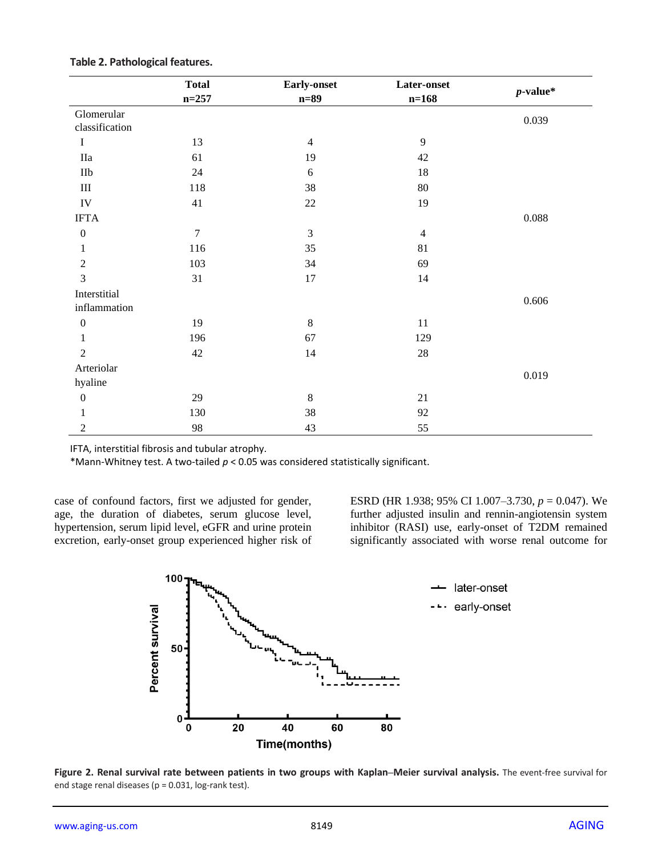|                  | <b>Total</b>   | <b>Early-onset</b> | Later-onset    | $p$ -value* |
|------------------|----------------|--------------------|----------------|-------------|
|                  | $n = 257$      | $n=89$             | $n = 168$      |             |
| Glomerular       |                |                    |                | 0.039       |
| classification   |                |                    |                |             |
| $\bf I$          | 13             | $\overline{4}$     | 9              |             |
| <b>IIa</b>       | 61             | 19                 | 42             |             |
| $\rm I Ib$       | $24\,$         | $6\,$              | $18\,$         |             |
| $\rm III$        | 118            | 38                 | $80\,$         |             |
| ${\rm IV}$       | 41             | $22\,$             | 19             |             |
| <b>IFTA</b>      |                |                    |                | 0.088       |
| $\boldsymbol{0}$ | $\overline{7}$ | $\mathfrak{Z}$     | $\overline{4}$ |             |
| 1                | 116            | 35                 | 81             |             |
| $\mathfrak{2}$   | 103            | 34                 | 69             |             |
| $\overline{3}$   | 31             | 17                 | 14             |             |
| Interstitial     |                |                    |                |             |
| inflammation     |                |                    |                | 0.606       |
| $\boldsymbol{0}$ | 19             | $\,8\,$            | 11             |             |
| 1                | 196            | 67                 | 129            |             |
| $\overline{2}$   | 42             | 14                 | $28\,$         |             |
| Arteriolar       |                |                    |                |             |
| hyaline          |                |                    |                | 0.019       |
| $\boldsymbol{0}$ | 29             | $\,8\,$            | 21             |             |
| 1                | 130            | 38                 | 92             |             |
| $\mathfrak{2}$   | 98             | 43                 | 55             |             |

#### **Table 2. Pathological features.**

IFTA, interstitial fibrosis and tubular atrophy.

\*Mann-Whitney test. A two-tailed *p* < 0.05 was considered statistically significant.

case of confound factors, first we adjusted for gender, age, the duration of diabetes, serum glucose level, hypertension, serum lipid level, eGFR and urine protein excretion, early-onset group experienced higher risk of ESRD (HR 1.938; 95% CI 1.007–3.730, *p* = 0.047). We further adjusted insulin and rennin-angiotensin system inhibitor (RASI) use, early-onset of T2DM remained significantly associated with worse renal outcome for



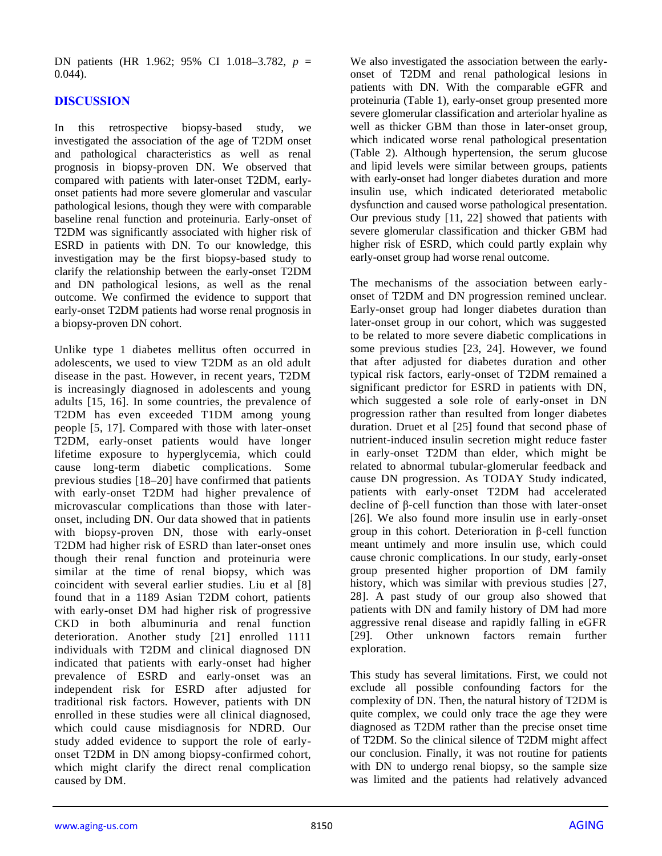DN patients (HR 1.962; 95% CI 1.018–3.782, *p* =  $0.044$ ).

## **DISCUSSION**

In this retrospective biopsy-based study, we investigated the association of the age of T2DM onset and pathological characteristics as well as renal prognosis in biopsy-proven DN. We observed that compared with patients with later-onset T2DM, earlyonset patients had more severe glomerular and vascular pathological lesions, though they were with comparable baseline renal function and proteinuria. Early-onset of T2DM was significantly associated with higher risk of ESRD in patients with DN. To our knowledge, this investigation may be the first biopsy-based study to clarify the relationship between the early-onset T2DM and DN pathological lesions, as well as the renal outcome. We confirmed the evidence to support that early-onset T2DM patients had worse renal prognosis in a biopsy-proven DN cohort.

Unlike type 1 diabetes mellitus often occurred in adolescents, we used to view T2DM as an old adult disease in the past. However, in recent years, T2DM is increasingly diagnosed in adolescents and young adults [15, 16]. In some countries, the prevalence of T2DM has even exceeded T1DM among young people [5, 17]. Compared with those with later-onset T2DM, early-onset patients would have longer lifetime exposure to hyperglycemia, which could cause long-term diabetic complications. Some previous studies [18–20] have confirmed that patients with early-onset T2DM had higher prevalence of microvascular complications than those with lateronset, including DN. Our data showed that in patients with biopsy-proven DN, those with early-onset T2DM had higher risk of ESRD than later-onset ones though their renal function and proteinuria were similar at the time of renal biopsy, which was coincident with several earlier studies. Liu et al [8] found that in a 1189 Asian T2DM cohort, patients with early-onset DM had higher risk of progressive CKD in both albuminuria and renal function deterioration. Another study [21] enrolled 1111 individuals with T2DM and clinical diagnosed DN indicated that patients with early-onset had higher prevalence of ESRD and early-onset was an independent risk for ESRD after adjusted for traditional risk factors. However, patients with DN enrolled in these studies were all clinical diagnosed, which could cause misdiagnosis for NDRD. Our study added evidence to support the role of earlyonset T2DM in DN among biopsy-confirmed cohort, which might clarify the direct renal complication caused by DM.

We also investigated the association between the earlyonset of T2DM and renal pathological lesions in patients with DN. With the comparable eGFR and proteinuria (Table 1), early-onset group presented more severe glomerular classification and arteriolar hyaline as well as thicker GBM than those in later-onset group, which indicated worse renal pathological presentation (Table 2). Although hypertension, the serum glucose and lipid levels were similar between groups, patients with early-onset had longer diabetes duration and more insulin use, which indicated deteriorated metabolic dysfunction and caused worse pathological presentation. Our previous study [11, 22] showed that patients with severe glomerular classification and thicker GBM had higher risk of ESRD, which could partly explain why early-onset group had worse renal outcome.

The mechanisms of the association between earlyonset of T2DM and DN progression remined unclear. Early-onset group had longer diabetes duration than later-onset group in our cohort, which was suggested to be related to more severe diabetic complications in some previous studies [23, 24]. However, we found that after adjusted for diabetes duration and other typical risk factors, early-onset of T2DM remained a significant predictor for ESRD in patients with DN, which suggested a sole role of early-onset in DN progression rather than resulted from longer diabetes duration. Druet et al [25] found that second phase of nutrient-induced insulin secretion might reduce faster in early-onset T2DM than elder, which might be related to abnormal tubular-glomerular feedback and cause DN progression. As TODAY Study indicated, patients with early-onset T2DM had accelerated decline of β-cell function than those with later-onset [26]. We also found more insulin use in early-onset group in this cohort. Deterioration in β-cell function meant untimely and more insulin use, which could cause chronic complications. In our study, early-onset group presented higher proportion of DM family history, which was similar with previous studies [27, 28]. A past study of our group also showed that patients with DN and family history of DM had more aggressive renal disease and rapidly falling in eGFR [29]. Other unknown factors remain further exploration.

This study has several limitations. First, we could not exclude all possible confounding factors for the complexity of DN. Then, the natural history of T2DM is quite complex, we could only trace the age they were diagnosed as T2DM rather than the precise onset time of T2DM. So the clinical silence of T2DM might affect our conclusion. Finally, it was not routine for patients with DN to undergo renal biopsy, so the sample size was limited and the patients had relatively advanced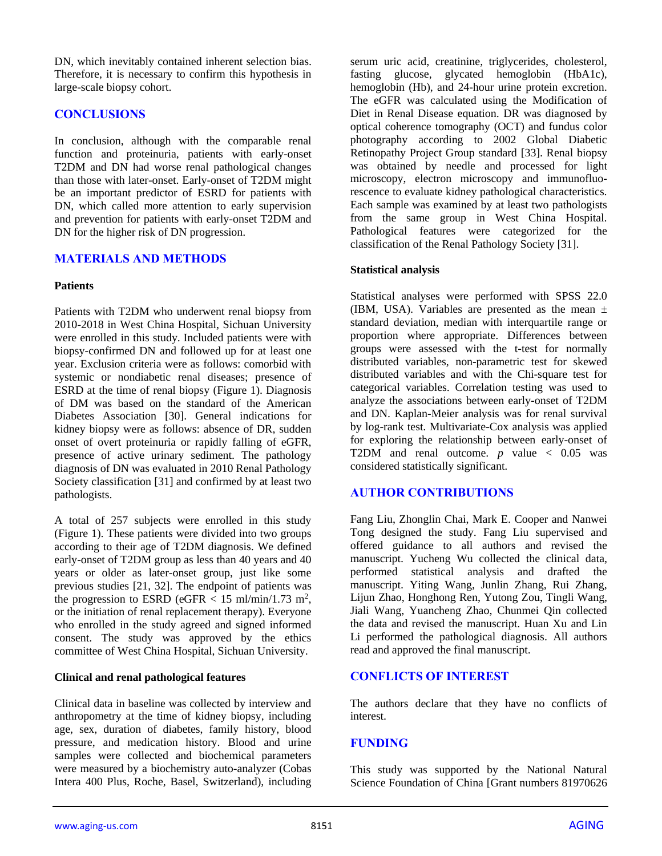DN, which inevitably contained inherent selection bias. Therefore, it is necessary to confirm this hypothesis in large-scale biopsy cohort.

## **CONCLUSIONS**

In conclusion, although with the comparable renal function and proteinuria, patients with early-onset T2DM and DN had worse renal pathological changes than those with later-onset. Early-onset of T2DM might be an important predictor of ESRD for patients with DN, which called more attention to early supervision and prevention for patients with early-onset T2DM and DN for the higher risk of DN progression.

## **MATERIALS AND METHODS**

#### **Patients**

Patients with T2DM who underwent renal biopsy from 2010-2018 in West China Hospital, Sichuan University were enrolled in this study. Included patients were with biopsy-confirmed DN and followed up for at least one year. Exclusion criteria were as follows: comorbid with systemic or nondiabetic renal diseases; presence of ESRD at the time of renal biopsy (Figure 1). Diagnosis of DM was based on the standard of the American Diabetes Association [30]. General indications for kidney biopsy were as follows: absence of DR, sudden onset of overt proteinuria or rapidly falling of eGFR, presence of active urinary sediment. The pathology diagnosis of DN was evaluated in 2010 Renal Pathology Society classification [31] and confirmed by at least two pathologists.

A total of 257 subjects were enrolled in this study (Figure 1). These patients were divided into two groups according to their age of T2DM diagnosis. We defined early-onset of T2DM group as less than 40 years and 40 years or older as later-onset group, just like some previous studies [21, 32]. The endpoint of patients was the progression to ESRD (eGFR  $<$  15 ml/min/1.73 m<sup>2</sup>, or the initiation of renal replacement therapy). Everyone who enrolled in the study agreed and signed informed consent. The study was approved by the ethics committee of West China Hospital, Sichuan University.

#### **Clinical and renal pathological features**

Clinical data in baseline was collected by interview and anthropometry at the time of kidney biopsy, including age, sex, duration of diabetes, family history, blood pressure, and medication history. Blood and urine samples were collected and biochemical parameters were measured by a biochemistry auto-analyzer (Cobas Intera 400 Plus, Roche, Basel, Switzerland), including

serum uric acid, creatinine, triglycerides, cholesterol, fasting glucose, glycated hemoglobin (HbA1c), hemoglobin (Hb), and 24-hour urine protein excretion. The eGFR was calculated using the Modification of Diet in Renal Disease equation. DR was diagnosed by optical coherence tomography (OCT) and fundus color photography according to 2002 Global Diabetic Retinopathy Project Group standard [33]. Renal biopsy was obtained by needle and processed for light microscopy, electron microscopy and immunofluorescence to evaluate kidney pathological characteristics. Each sample was examined by at least two pathologists from the same group in West China Hospital. Pathological features were categorized for the classification of the Renal Pathology Society [31].

#### **Statistical analysis**

Statistical analyses were performed with SPSS 22.0 (IBM, USA). Variables are presented as the mean  $\pm$ standard deviation, median with interquartile range or proportion where appropriate. Differences between groups were assessed with the t-test for normally distributed variables, non-parametric test for skewed distributed variables and with the Chi-square test for categorical variables. Correlation testing was used to analyze the associations between early-onset of T2DM and DN. Kaplan-Meier analysis was for renal survival by log-rank test. Multivariate-Cox analysis was applied for exploring the relationship between early-onset of T2DM and renal outcome.  $p$  value  $\lt$  0.05 was considered statistically significant.

# **AUTHOR CONTRIBUTIONS**

Fang Liu, Zhonglin Chai, Mark E. Cooper and Nanwei Tong designed the study. Fang Liu supervised and offered guidance to all authors and revised the manuscript. Yucheng Wu collected the clinical data, performed statistical analysis and drafted the manuscript. Yiting Wang, Junlin Zhang, Rui Zhang, Lijun Zhao, Honghong Ren, Yutong Zou, Tingli Wang, Jiali Wang, Yuancheng Zhao, Chunmei Qin collected the data and revised the manuscript. Huan Xu and Lin Li performed the pathological diagnosis. All authors read and approved the final manuscript.

## **CONFLICTS OF INTEREST**

The authors declare that they have no conflicts of interest.

## **FUNDING**

This study was supported by the National Natural Science Foundation of China [Grant numbers 81970626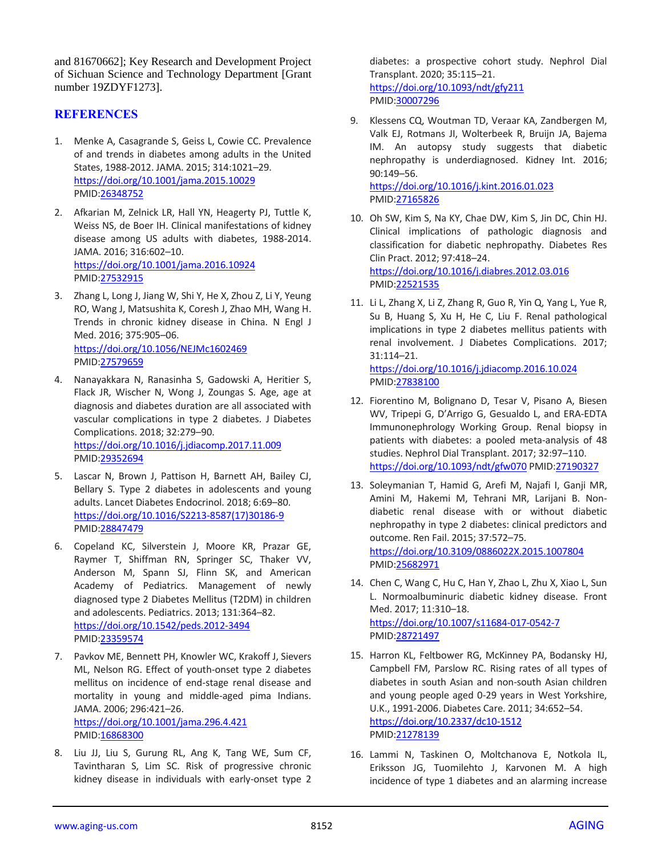and 81670662]; Key Research and Development Project of Sichuan Science and Technology Department [Grant number 19ZDYF1273].

## **REFERENCES**

- 1. Menke A, Casagrande S, Geiss L, Cowie CC. Prevalence of and trends in diabetes among adults in the United States, 1988-2012. JAMA. 2015; 314:1021–29. <https://doi.org/10.1001/jama.2015.10029> PMID[:26348752](https://pubmed.ncbi.nlm.nih.gov/26348752)
- 2. Afkarian M, Zelnick LR, Hall YN, Heagerty PJ, Tuttle K, Weiss NS, de Boer IH. Clinical manifestations of kidney disease among US adults with diabetes, 1988-2014. JAMA. 2016; 316:602–10. <https://doi.org/10.1001/jama.2016.10924> PMID[:27532915](https://pubmed.ncbi.nlm.nih.gov/27532915)
- 3. Zhang L, Long J, Jiang W, Shi Y, He X, Zhou Z, Li Y, Yeung RO, Wang J, Matsushita K, Coresh J, Zhao MH, Wang H. Trends in chronic kidney disease in China. N Engl J Med. 2016; 375:905–06. <https://doi.org/10.1056/NEJMc1602469> PMID[:27579659](https://pubmed.ncbi.nlm.nih.gov/27579659)
- 4. Nanayakkara N, Ranasinha S, Gadowski A, Heritier S, Flack JR, Wischer N, Wong J, Zoungas S. Age, age at diagnosis and diabetes duration are all associated with vascular complications in type 2 diabetes. J Diabetes Complications. 2018; 32:279–90. <https://doi.org/10.1016/j.jdiacomp.2017.11.009> PMID[:29352694](https://pubmed.ncbi.nlm.nih.gov/29352694)
- 5. Lascar N, Brown J, Pattison H, Barnett AH, Bailey CJ, Bellary S. Type 2 diabetes in adolescents and young adults. Lancet Diabetes Endocrinol. 2018; 6:69–80. [https://doi.org/10.1016/S2213-8587\(17\)30186-9](https://doi.org/10.1016/S2213-8587(17)30186-9) PMID[:28847479](https://pubmed.ncbi.nlm.nih.gov/28847479)
- 6. Copeland KC, Silverstein J, Moore KR, Prazar GE, Raymer T, Shiffman RN, Springer SC, Thaker VV, Anderson M, Spann SJ, Flinn SK, and American Academy of Pediatrics. Management of newly diagnosed type 2 Diabetes Mellitus (T2DM) in children and adolescents. Pediatrics. 2013; 131:364–82. <https://doi.org/10.1542/peds.2012-3494> PMID[:23359574](https://pubmed.ncbi.nlm.nih.gov/23359574/)
- 7. Pavkov ME, Bennett PH, Knowler WC, Krakoff J, Sievers ML, Nelson RG. Effect of youth-onset type 2 diabetes mellitus on incidence of end-stage renal disease and mortality in young and middle-aged pima Indians. JAMA. 2006; 296:421–26. <https://doi.org/10.1001/jama.296.4.421> PMID[:16868300](https://pubmed.ncbi.nlm.nih.gov/16868300)
- 8. Liu JJ, Liu S, Gurung RL, Ang K, Tang WE, Sum CF, Tavintharan S, Lim SC. Risk of progressive chronic kidney disease in individuals with early-onset type 2

diabetes: a prospective cohort study. Nephrol Dial Transplant. 2020; 35:115–21. <https://doi.org/10.1093/ndt/gfy211> PMI[D:30007296](https://pubmed.ncbi.nlm.nih.gov/30007296)

- 9. Klessens CQ, Woutman TD, Veraar KA, Zandbergen M, Valk EJ, Rotmans JI, Wolterbeek R, Bruijn JA, Bajema IM. An autopsy study suggests that diabetic nephropathy is underdiagnosed. Kidney Int. 2016; 90:149–56. <https://doi.org/10.1016/j.kint.2016.01.023> PMI[D:27165826](https://pubmed.ncbi.nlm.nih.gov/27165826)
- 10. Oh SW, Kim S, Na KY, Chae DW, Kim S, Jin DC, Chin HJ. Clinical implications of pathologic diagnosis and classification for diabetic nephropathy. Diabetes Res Clin Pract. 2012; 97:418–24. <https://doi.org/10.1016/j.diabres.2012.03.016> PMI[D:22521535](https://pubmed.ncbi.nlm.nih.gov/22521535)
- 11. Li L, Zhang X, Li Z, Zhang R, Guo R, Yin Q, Yang L, Yue R, Su B, Huang S, Xu H, He C, Liu F. Renal pathological implications in type 2 diabetes mellitus patients with renal involvement. J Diabetes Complications. 2017; 31:114–21. <https://doi.org/10.1016/j.jdiacomp.2016.10.024> PMI[D:27838100](https://pubmed.ncbi.nlm.nih.gov/27838100/)
- 12. Fiorentino M, Bolignano D, Tesar V, Pisano A, Biesen WV, Tripepi G, D'Arrigo G, Gesualdo L, and ERA-EDTA Immunonephrology Working Group. Renal biopsy in patients with diabetes: a pooled meta-analysis of 48 studies. Nephrol Dial Transplant. 2017; 32:97–110. <https://doi.org/10.1093/ndt/gfw070> PMID[:27190327](https://pubmed.ncbi.nlm.nih.gov/27190327)
- 13. Soleymanian T, Hamid G, Arefi M, Najafi I, Ganji MR, Amini M, Hakemi M, Tehrani MR, Larijani B. Nondiabetic renal disease with or without diabetic nephropathy in type 2 diabetes: clinical predictors and outcome. Ren Fail. 2015; 37:572–75. <https://doi.org/10.3109/0886022X.2015.1007804> PMI[D:25682971](https://pubmed.ncbi.nlm.nih.gov/25682971)
- 14. Chen C, Wang C, Hu C, Han Y, Zhao L, Zhu X, Xiao L, Sun L. Normoalbuminuric diabetic kidney disease. Front Med. 2017; 11:310–18. <https://doi.org/10.1007/s11684-017-0542-7> PMI[D:28721497](https://pubmed.ncbi.nlm.nih.gov/28721497)
- 15. Harron KL, Feltbower RG, McKinney PA, Bodansky HJ, Campbell FM, Parslow RC. Rising rates of all types of diabetes in south Asian and non-south Asian children and young people aged 0-29 years in West Yorkshire, U.K., 1991-2006. Diabetes Care. 2011; 34:652–54. <https://doi.org/10.2337/dc10-1512> PMI[D:21278139](https://pubmed.ncbi.nlm.nih.gov/21278139)
- 16. Lammi N, Taskinen O, Moltchanova E, Notkola IL, Eriksson JG, Tuomilehto J, Karvonen M. A high incidence of type 1 diabetes and an alarming increase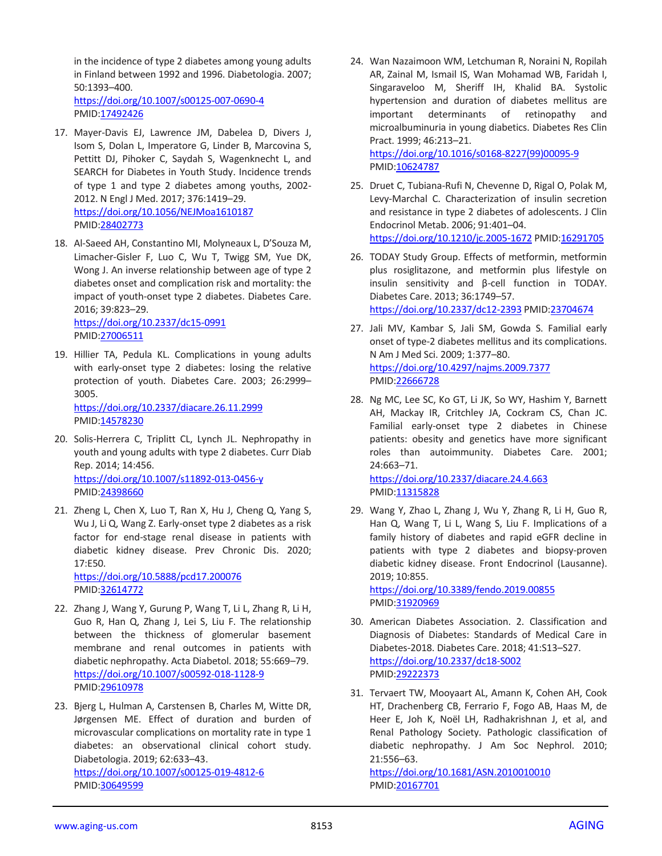in the incidence of type 2 diabetes among young adults in Finland between 1992 and 1996. Diabetologia. 2007; 50:1393–400. <https://doi.org/10.1007/s00125-007-0690-4>

PMID[:17492426](https://pubmed.ncbi.nlm.nih.gov/17492426)

- 17. Mayer-Davis EJ, Lawrence JM, Dabelea D, Divers J, Isom S, Dolan L, Imperatore G, Linder B, Marcovina S, Pettitt DJ, Pihoker C, Saydah S, Wagenknecht L, and SEARCH for Diabetes in Youth Study. Incidence trends of type 1 and type 2 diabetes among youths, 2002- 2012. N Engl J Med. 2017; 376:1419–29. <https://doi.org/10.1056/NEJMoa1610187> PMID[:28402773](https://pubmed.ncbi.nlm.nih.gov/28402773)
- 18. Al-Saeed AH, Constantino MI, Molyneaux L, D'Souza M, Limacher-Gisler F, Luo C, Wu T, Twigg SM, Yue DK, Wong J. An inverse relationship between age of type 2 diabetes onset and complication risk and mortality: the impact of youth-onset type 2 diabetes. Diabetes Care. 2016; 39:823–29.

<https://doi.org/10.2337/dc15-0991> PMID[:27006511](https://pubmed.ncbi.nlm.nih.gov/27006511)

19. Hillier TA, Pedula KL. Complications in young adults with early-onset type 2 diabetes: losing the relative protection of youth. Diabetes Care. 2003; 26:2999– 3005. <https://doi.org/10.2337/diacare.26.11.2999>

PMID[:14578230](https://pubmed.ncbi.nlm.nih.gov/14578230)

- 20. Solis-Herrera C, Triplitt CL, Lynch JL. Nephropathy in youth and young adults with type 2 diabetes. Curr Diab Rep. 2014; 14:456. <https://doi.org/10.1007/s11892-013-0456-y> PMID[:24398660](https://pubmed.ncbi.nlm.nih.gov/24398660)
- 21. Zheng L, Chen X, Luo T, Ran X, Hu J, Cheng Q, Yang S, Wu J, Li Q, Wang Z. Early-onset type 2 diabetes as a risk factor for end-stage renal disease in patients with diabetic kidney disease. Prev Chronic Dis. 2020; 17:E50.

<https://doi.org/10.5888/pcd17.200076> PMID[:32614772](https://pubmed.ncbi.nlm.nih.gov/32614772)

- 22. Zhang J, Wang Y, Gurung P, Wang T, Li L, Zhang R, Li H, Guo R, Han Q, Zhang J, Lei S, Liu F. The relationship between the thickness of glomerular basement membrane and renal outcomes in patients with diabetic nephropathy. Acta Diabetol. 2018; 55:669–79. <https://doi.org/10.1007/s00592-018-1128-9> PMID[:29610978](https://pubmed.ncbi.nlm.nih.gov/29610978)
- 23. Bjerg L, Hulman A, Carstensen B, Charles M, Witte DR, Jørgensen ME. Effect of duration and burden of microvascular complications on mortality rate in type 1 diabetes: an observational clinical cohort study. Diabetologia. 2019; 62:633–43. <https://doi.org/10.1007/s00125-019-4812-6>

PMID[:30649599](https://pubmed.ncbi.nlm.nih.gov/30649599)

24. Wan Nazaimoon WM, Letchuman R, Noraini N, Ropilah AR, Zainal M, Ismail IS, Wan Mohamad WB, Faridah I, Singaraveloo M, Sheriff IH, Khalid BA. Systolic hypertension and duration of diabetes mellitus are important determinants of retinopathy and microalbuminuria in young diabetics. Diabetes Res Clin Pract. 1999; 46:213–21. [https://doi.org/10.1016/s0168-8227\(99\)00095-9](https://doi.org/10.1016/s0168-8227(99)00095-9)

PMID: 10624787

- 25. Druet C, Tubiana-Rufi N, Chevenne D, Rigal O, Polak M, Levy-Marchal C. Characterization of insulin secretion and resistance in type 2 diabetes of adolescents. J Clin Endocrinol Metab. 2006; 91:401–04. <https://doi.org/10.1210/jc.2005-1672> PMID[:16291705](https://pubmed.ncbi.nlm.nih.gov/16291705)
- 26. TODAY Study Group. Effects of metformin, metformin plus rosiglitazone, and metformin plus lifestyle on insulin sensitivity and β-cell function in TODAY. Diabetes Care. 2013; 36:1749–57. <https://doi.org/10.2337/dc12-2393> PMID[:23704674](https://pubmed.ncbi.nlm.nih.gov/23704674/)
- 27. Jali MV, Kambar S, Jali SM, Gowda S. Familial early onset of type-2 diabetes mellitus and its complications. N Am J Med Sci. 2009; 1:377–80. <https://doi.org/10.4297/najms.2009.7377> PMI[D:22666728](https://pubmed.ncbi.nlm.nih.gov/22666728)
- 28. Ng MC, Lee SC, Ko GT, Li JK, So WY, Hashim Y, Barnett AH, Mackay IR, Critchley JA, Cockram CS, Chan JC. Familial early-onset type 2 diabetes in Chinese patients: obesity and genetics have more significant roles than autoimmunity. Diabetes Care. 2001; 24:663–71. <https://doi.org/10.2337/diacare.24.4.663> PMI[D:11315828](https://pubmed.ncbi.nlm.nih.gov/11315828)
- 29. Wang Y, Zhao L, Zhang J, Wu Y, Zhang R, Li H, Guo R, Han Q, Wang T, Li L, Wang S, Liu F. Implications of a family history of diabetes and rapid eGFR decline in patients with type 2 diabetes and biopsy-proven diabetic kidney disease. Front Endocrinol (Lausanne). 2019; 10:855.

<https://doi.org/10.3389/fendo.2019.00855> PMI[D:31920969](https://pubmed.ncbi.nlm.nih.gov/31920969)

- 30. American Diabetes Association. 2. Classification and Diagnosis of Diabetes: Standards of Medical Care in Diabetes-2018. Diabetes Care. 2018; 41:S13–S27. <https://doi.org/10.2337/dc18-S002> PMI[D:29222373](https://pubmed.ncbi.nlm.nih.gov/29222373/)
- 31. Tervaert TW, Mooyaart AL, Amann K, Cohen AH, Cook HT, Drachenberg CB, Ferrario F, Fogo AB, Haas M, de Heer E, Joh K, Noël LH, Radhakrishnan J, et al, and Renal Pathology Society. Pathologic classification of diabetic nephropathy. J Am Soc Nephrol. 2010; 21:556–63.

<https://doi.org/10.1681/ASN.2010010010> PMI[D:20167701](https://pubmed.ncbi.nlm.nih.gov/20167701)